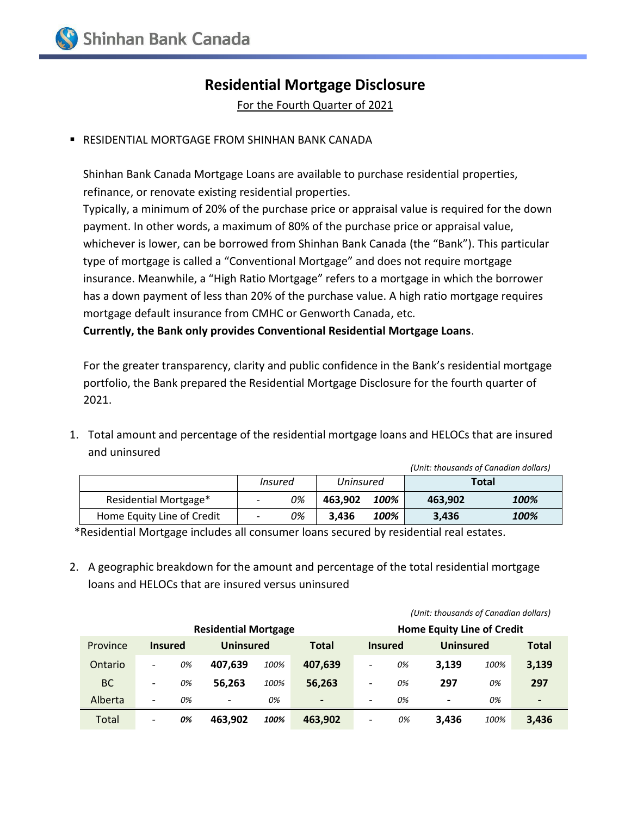## **Residential Mortgage Disclosure**

For the Fourth Quarter of 2021

RESIDENTIAL MORTGAGE FROM SHINHAN BANK CANADA

Shinhan Bank Canada Mortgage Loans are available to purchase residential properties, refinance, or renovate existing residential properties.

Typically, a minimum of 20% of the purchase price or appraisal value is required for the down payment. In other words, a maximum of 80% of the purchase price or appraisal value, whichever is lower, can be borrowed from Shinhan Bank Canada (the "Bank"). This particular type of mortgage is called a "Conventional Mortgage" and does not require mortgage insurance. Meanwhile, a "High Ratio Mortgage" refers to a mortgage in which the borrower has a down payment of less than 20% of the purchase value. A high ratio mortgage requires mortgage default insurance from CMHC or Genworth Canada, etc.

**Currently, the Bank only provides Conventional Residential Mortgage Loans**.

For the greater transparency, clarity and public confidence in the Bank's residential mortgage portfolio, the Bank prepared the Residential Mortgage Disclosure for the fourth quarter of 2021.

1. Total amount and percentage of the residential mortgage loans and HELOCs that are insured and uninsured

|                            |                          |    |           |      | (Unit: thousands of Canadian dollars) |      |
|----------------------------|--------------------------|----|-----------|------|---------------------------------------|------|
|                            | Insured                  |    | Uninsured |      | Total                                 |      |
| Residential Mortgage*      | $\overline{\phantom{a}}$ | 0% | 463.902   | 100% | 463.902                               | 100% |
| Home Equity Line of Credit |                          | 0% | 3.436     | 100% | 3.436                                 | 100% |

\*Residential Mortgage includes all consumer loans secured by residential real estates.

2. A geographic breakdown for the amount and percentage of the total residential mortgage loans and HELOCs that are insured versus uninsured

|           |                          |    | <b>Residential Mortgage</b> |      |                          |                          |    | <b>Home Equity Line of Credit</b> |      |                |  |
|-----------|--------------------------|----|-----------------------------|------|--------------------------|--------------------------|----|-----------------------------------|------|----------------|--|
| Province  | <b>Insured</b>           |    | <b>Uninsured</b>            |      | <b>Total</b>             | <b>Insured</b>           |    | <b>Uninsured</b>                  |      | <b>Total</b>   |  |
| Ontario   | $\overline{\phantom{a}}$ | 0% | 407.639                     | 100% | 407.639                  | $\overline{\phantom{a}}$ | 0% | 3.139                             | 100% | 3,139          |  |
| <b>BC</b> | $\overline{\phantom{a}}$ | 0% | 56.263                      | 100% | 56,263                   | $\overline{\phantom{a}}$ | 0% | 297                               | 0%   | 297            |  |
| Alberta   | $\overline{\phantom{a}}$ | 0% | $\overline{\phantom{a}}$    | 0%   | $\overline{\phantom{0}}$ | $\overline{\phantom{a}}$ | 0% | $\hbox{\small -}$                 | 0%   | $\blacksquare$ |  |
| Total     | $\overline{\phantom{a}}$ | 0% | 463.902                     | 100% | 463.902                  | $\overline{\phantom{a}}$ | 0% | 3.436                             | 100% | 3,436          |  |

*(Unit: thousands of Canadian dollars)*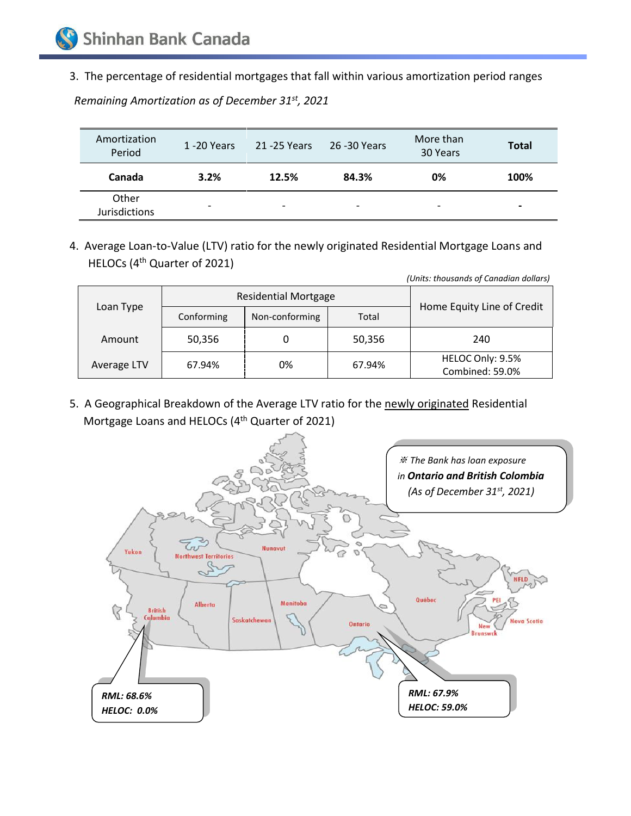3. The percentage of residential mortgages that fall within various amortization period ranges

| Amortization<br>Period        | 1 -20 Years              | 21 -25 Years             | 26 -30 Years             | More than<br>30 Years | <b>Total</b>             |
|-------------------------------|--------------------------|--------------------------|--------------------------|-----------------------|--------------------------|
| Canada                        | 3.2%                     | 12.5%                    | 84.3%                    | 0%                    | 100%                     |
| Other<br><b>Jurisdictions</b> | $\overline{\phantom{0}}$ | $\overline{\phantom{0}}$ | $\overline{\phantom{a}}$ | -                     | $\overline{\phantom{0}}$ |

*Remaining Amortization as of December 31st , 2021*

4. Average Loan-to-Value (LTV) ratio for the newly originated Residential Mortgage Loans and HELOCs (4 th Quarter of 2021)

| (Units: thousands of Canadian dollars) |            |                             |        |                                     |  |  |
|----------------------------------------|------------|-----------------------------|--------|-------------------------------------|--|--|
|                                        |            | <b>Residential Mortgage</b> |        |                                     |  |  |
| Loan Type                              | Conforming | Non-conforming              | Total  | Home Equity Line of Credit          |  |  |
| Amount                                 | 50,356     |                             | 50,356 | 240                                 |  |  |
| Average LTV                            | 67.94%     | 0%                          | 67.94% | HELOC Only: 9.5%<br>Combined: 59.0% |  |  |

5. A Geographical Breakdown of the Average LTV ratio for the newly originated Residential Mortgage Loans and HELOCs (4<sup>th</sup> Quarter of 2021)